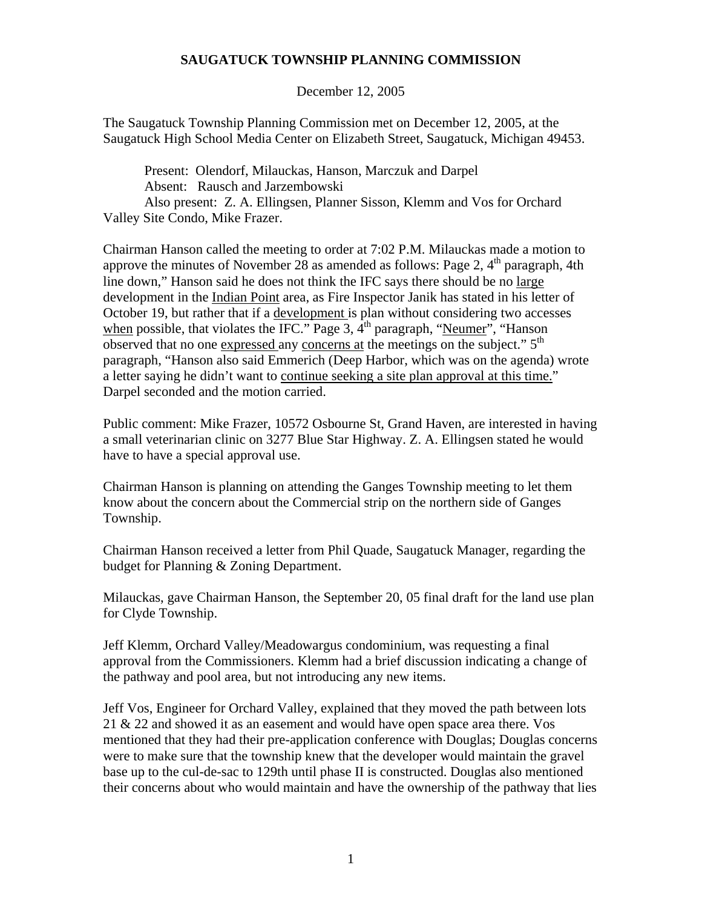## **SAUGATUCK TOWNSHIP PLANNING COMMISSION**

December 12, 2005

The Saugatuck Township Planning Commission met on December 12, 2005, at the Saugatuck High School Media Center on Elizabeth Street, Saugatuck, Michigan 49453.

Present: Olendorf, Milauckas, Hanson, Marczuk and Darpel Absent: Rausch and Jarzembowski Also present: Z. A. Ellingsen, Planner Sisson, Klemm and Vos for Orchard Valley Site Condo, Mike Frazer.

Chairman Hanson called the meeting to order at 7:02 P.M. Milauckas made a motion to approve the minutes of November 28 as amended as follows: Page 2,  $4<sup>th</sup>$  paragraph, 4th line down," Hanson said he does not think the IFC says there should be no large development in the Indian Point area, as Fire Inspector Janik has stated in his letter of October 19, but rather that if a development is plan without considering two accesses when possible, that violates the IFC." Page 3,  $4<sup>th</sup>$  paragraph, "Neumer", "Hanson observed that no one expressed any concerns at the meetings on the subject." 5<sup>th</sup> paragraph, "Hanson also said Emmerich (Deep Harbor, which was on the agenda) wrote a letter saying he didn't want to continue seeking a site plan approval at this time." Darpel seconded and the motion carried.

Public comment: Mike Frazer, 10572 Osbourne St, Grand Haven, are interested in having a small veterinarian clinic on 3277 Blue Star Highway. Z. A. Ellingsen stated he would have to have a special approval use.

Chairman Hanson is planning on attending the Ganges Township meeting to let them know about the concern about the Commercial strip on the northern side of Ganges Township.

Chairman Hanson received a letter from Phil Quade, Saugatuck Manager, regarding the budget for Planning & Zoning Department.

Milauckas, gave Chairman Hanson, the September 20, 05 final draft for the land use plan for Clyde Township.

Jeff Klemm, Orchard Valley/Meadowargus condominium, was requesting a final approval from the Commissioners. Klemm had a brief discussion indicating a change of the pathway and pool area, but not introducing any new items.

Jeff Vos, Engineer for Orchard Valley, explained that they moved the path between lots 21 & 22 and showed it as an easement and would have open space area there. Vos mentioned that they had their pre-application conference with Douglas; Douglas concerns were to make sure that the township knew that the developer would maintain the gravel base up to the cul-de-sac to 129th until phase II is constructed. Douglas also mentioned their concerns about who would maintain and have the ownership of the pathway that lies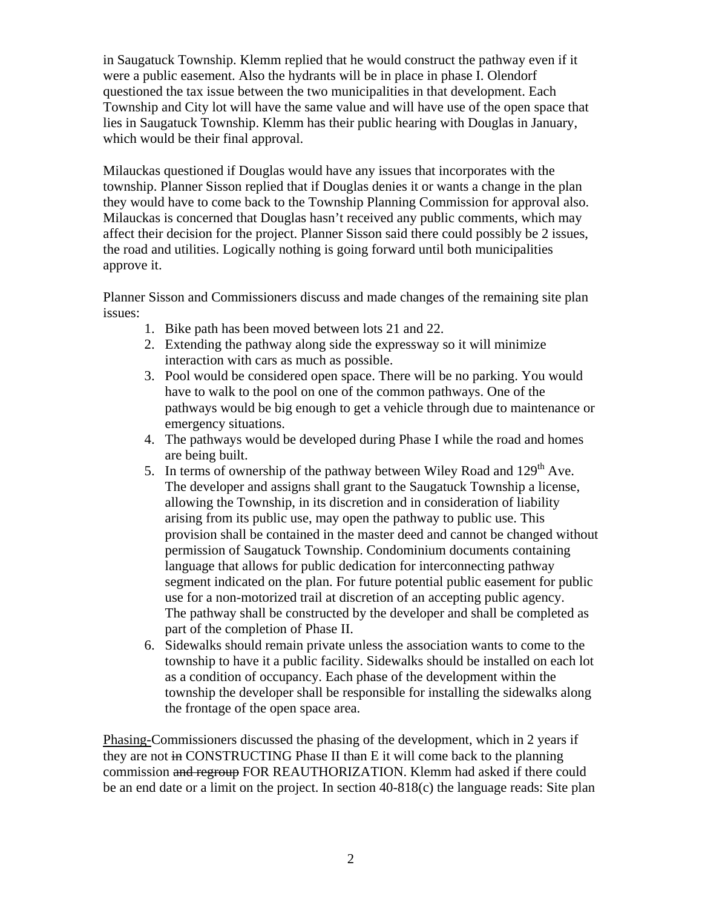in Saugatuck Township. Klemm replied that he would construct the pathway even if it were a public easement. Also the hydrants will be in place in phase I. Olendorf questioned the tax issue between the two municipalities in that development. Each Township and City lot will have the same value and will have use of the open space that lies in Saugatuck Township. Klemm has their public hearing with Douglas in January, which would be their final approval.

Milauckas questioned if Douglas would have any issues that incorporates with the township. Planner Sisson replied that if Douglas denies it or wants a change in the plan they would have to come back to the Township Planning Commission for approval also. Milauckas is concerned that Douglas hasn't received any public comments, which may affect their decision for the project. Planner Sisson said there could possibly be 2 issues, the road and utilities. Logically nothing is going forward until both municipalities approve it.

Planner Sisson and Commissioners discuss and made changes of the remaining site plan issues:

- 1. Bike path has been moved between lots 21 and 22.
- 2. Extending the pathway along side the expressway so it will minimize interaction with cars as much as possible.
- 3. Pool would be considered open space. There will be no parking. You would have to walk to the pool on one of the common pathways. One of the pathways would be big enough to get a vehicle through due to maintenance or emergency situations.
- 4. The pathways would be developed during Phase I while the road and homes are being built.
- 5. In terms of ownership of the pathway between Wiley Road and  $129<sup>th</sup>$  Ave. The developer and assigns shall grant to the Saugatuck Township a license, allowing the Township, in its discretion and in consideration of liability arising from its public use, may open the pathway to public use. This provision shall be contained in the master deed and cannot be changed without permission of Saugatuck Township. Condominium documents containing language that allows for public dedication for interconnecting pathway segment indicated on the plan. For future potential public easement for public use for a non-motorized trail at discretion of an accepting public agency. The pathway shall be constructed by the developer and shall be completed as part of the completion of Phase II.
- 6. Sidewalks should remain private unless the association wants to come to the township to have it a public facility. Sidewalks should be installed on each lot as a condition of occupancy. Each phase of the development within the township the developer shall be responsible for installing the sidewalks along the frontage of the open space area.

Phasing-Commissioners discussed the phasing of the development, which in 2 years if they are not in CONSTRUCTING Phase II than E it will come back to the planning commission and regroup FOR REAUTHORIZATION. Klemm had asked if there could be an end date or a limit on the project. In section 40-818(c) the language reads: Site plan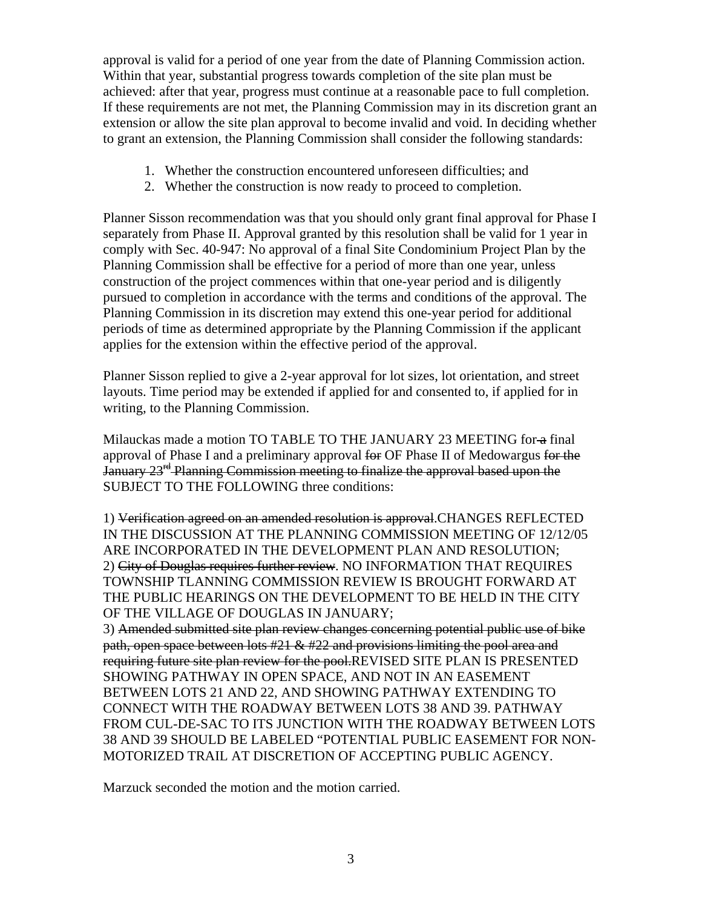approval is valid for a period of one year from the date of Planning Commission action. Within that year, substantial progress towards completion of the site plan must be achieved: after that year, progress must continue at a reasonable pace to full completion. If these requirements are not met, the Planning Commission may in its discretion grant an extension or allow the site plan approval to become invalid and void. In deciding whether to grant an extension, the Planning Commission shall consider the following standards:

- 1. Whether the construction encountered unforeseen difficulties; and
- 2. Whether the construction is now ready to proceed to completion.

Planner Sisson recommendation was that you should only grant final approval for Phase I separately from Phase II. Approval granted by this resolution shall be valid for 1 year in comply with Sec. 40-947: No approval of a final Site Condominium Project Plan by the Planning Commission shall be effective for a period of more than one year, unless construction of the project commences within that one-year period and is diligently pursued to completion in accordance with the terms and conditions of the approval. The Planning Commission in its discretion may extend this one-year period for additional periods of time as determined appropriate by the Planning Commission if the applicant applies for the extension within the effective period of the approval.

Planner Sisson replied to give a 2-year approval for lot sizes, lot orientation, and street layouts. Time period may be extended if applied for and consented to, if applied for in writing, to the Planning Commission.

Milauckas made a motion TO TABLE TO THE JANUARY 23 MEETING for a final approval of Phase I and a preliminary approval for OF Phase II of Medowargus for the January 23<sup>rd</sup> Planning Commission meeting to finalize the approval based upon the SUBJECT TO THE FOLLOWING three conditions:

1) Verification agreed on an amended resolution is approval.CHANGES REFLECTED IN THE DISCUSSION AT THE PLANNING COMMISSION MEETING OF 12/12/05 ARE INCORPORATED IN THE DEVELOPMENT PLAN AND RESOLUTION; 2) City of Douglas requires further review. NO INFORMATION THAT REQUIRES TOWNSHIP TLANNING COMMISSION REVIEW IS BROUGHT FORWARD AT THE PUBLIC HEARINGS ON THE DEVELOPMENT TO BE HELD IN THE CITY OF THE VILLAGE OF DOUGLAS IN JANUARY;

3) Amended submitted site plan review changes concerning potential public use of bike path, open space between lots #21 & #22 and provisions limiting the pool area and requiring future site plan review for the pool.REVISED SITE PLAN IS PRESENTED SHOWING PATHWAY IN OPEN SPACE, AND NOT IN AN EASEMENT BETWEEN LOTS 21 AND 22, AND SHOWING PATHWAY EXTENDING TO CONNECT WITH THE ROADWAY BETWEEN LOTS 38 AND 39. PATHWAY FROM CUL-DE-SAC TO ITS JUNCTION WITH THE ROADWAY BETWEEN LOTS 38 AND 39 SHOULD BE LABELED "POTENTIAL PUBLIC EASEMENT FOR NON-MOTORIZED TRAIL AT DISCRETION OF ACCEPTING PUBLIC AGENCY.

Marzuck seconded the motion and the motion carried.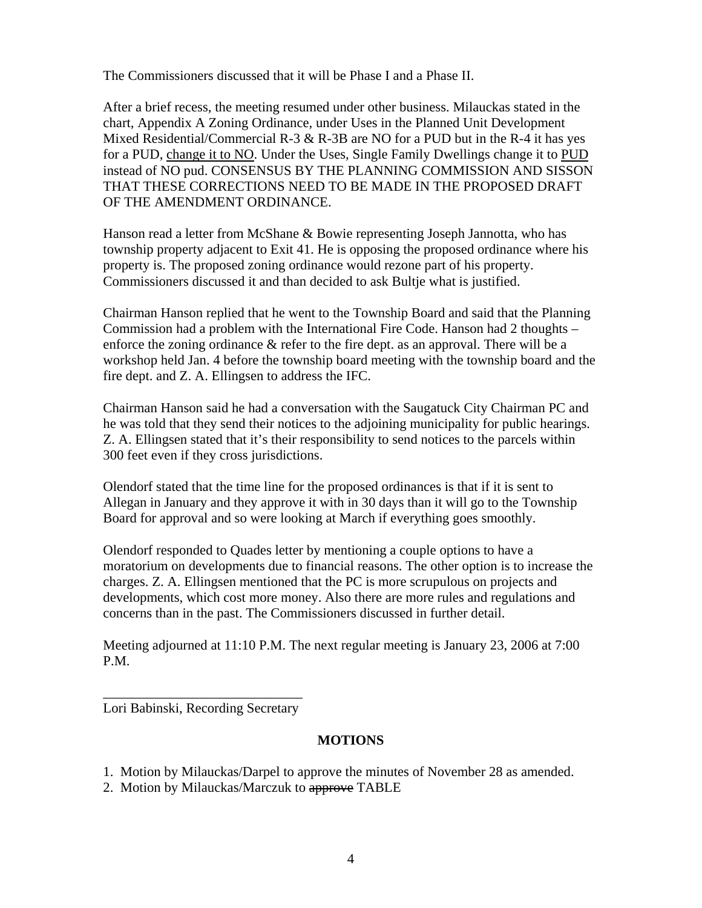The Commissioners discussed that it will be Phase I and a Phase II.

After a brief recess, the meeting resumed under other business. Milauckas stated in the chart, Appendix A Zoning Ordinance, under Uses in the Planned Unit Development Mixed Residential/Commercial R-3  $&$  R-3B are NO for a PUD but in the R-4 it has yes for a PUD, change it to NO. Under the Uses, Single Family Dwellings change it to PUD instead of NO pud. CONSENSUS BY THE PLANNING COMMISSION AND SISSON THAT THESE CORRECTIONS NEED TO BE MADE IN THE PROPOSED DRAFT OF THE AMENDMENT ORDINANCE.

Hanson read a letter from McShane & Bowie representing Joseph Jannotta, who has township property adjacent to Exit 41. He is opposing the proposed ordinance where his property is. The proposed zoning ordinance would rezone part of his property. Commissioners discussed it and than decided to ask Bultje what is justified.

Chairman Hanson replied that he went to the Township Board and said that the Planning Commission had a problem with the International Fire Code. Hanson had 2 thoughts – enforce the zoning ordinance  $\&$  refer to the fire dept. as an approval. There will be a workshop held Jan. 4 before the township board meeting with the township board and the fire dept. and Z. A. Ellingsen to address the IFC.

Chairman Hanson said he had a conversation with the Saugatuck City Chairman PC and he was told that they send their notices to the adjoining municipality for public hearings. Z. A. Ellingsen stated that it's their responsibility to send notices to the parcels within 300 feet even if they cross jurisdictions.

Olendorf stated that the time line for the proposed ordinances is that if it is sent to Allegan in January and they approve it with in 30 days than it will go to the Township Board for approval and so were looking at March if everything goes smoothly.

Olendorf responded to Quades letter by mentioning a couple options to have a moratorium on developments due to financial reasons. The other option is to increase the charges. Z. A. Ellingsen mentioned that the PC is more scrupulous on projects and developments, which cost more money. Also there are more rules and regulations and concerns than in the past. The Commissioners discussed in further detail.

Meeting adjourned at 11:10 P.M. The next regular meeting is January 23, 2006 at 7:00 P.M.

\_\_\_\_\_\_\_\_\_\_\_\_\_\_\_\_\_\_\_\_\_\_\_\_\_\_\_\_\_ Lori Babinski, Recording Secretary

## **MOTIONS**

- 1. Motion by Milauckas/Darpel to approve the minutes of November 28 as amended.
- 2. Motion by Milauckas/Marczuk to approve TABLE